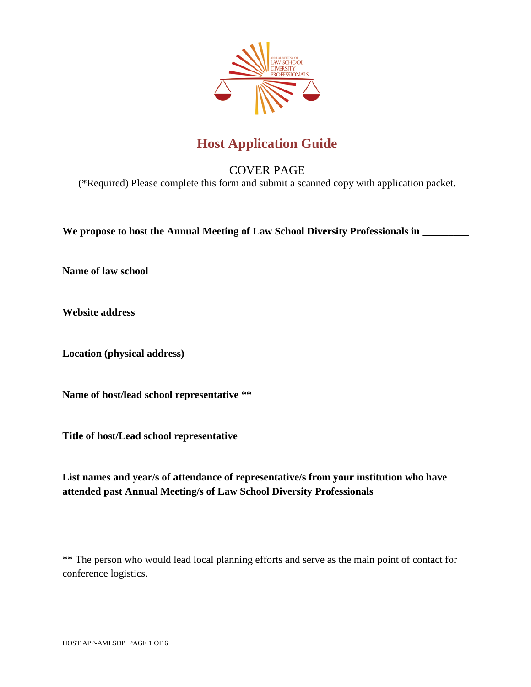

# **Host Application Guide**

# COVER PAGE

(\*Required) Please complete this form and submit a scanned copy with application packet.

**We propose to host the Annual Meeting of Law School Diversity Professionals in \_\_\_\_\_\_\_\_\_**

**Name of law school**

**Website address**

**Location (physical address)**

**Name of host/lead school representative \*\***

**Title of host/Lead school representative**

**List names and year/s of attendance of representative/s from your institution who have attended past Annual Meeting/s of Law School Diversity Professionals**

\*\* The person who would lead local planning efforts and serve as the main point of contact for conference logistics.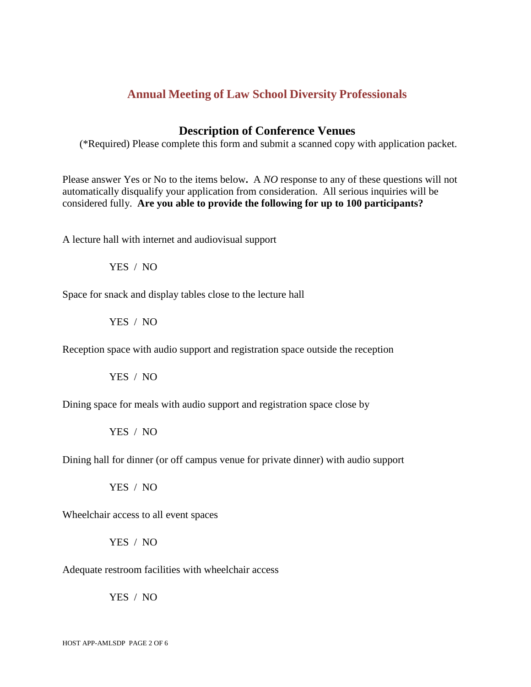#### **Description of Conference Venues**

(\*Required) Please complete this form and submit a scanned copy with application packet.

Please answer Yes or No to the items below**.** A *NO* response to any of these questions will not automatically disqualify your application from consideration. All serious inquiries will be considered fully. **Are you able to provide the following for up to 100 participants?**

A lecture hall with internet and audiovisual support

YES / NO

Space for snack and display tables close to the lecture hall

YES / NO

Reception space with audio support and registration space outside the reception

YES / NO

Dining space for meals with audio support and registration space close by

YES / NO

Dining hall for dinner (or off campus venue for private dinner) with audio support

YES / NO

Wheelchair access to all event spaces

YES / NO

Adequate restroom facilities with wheelchair access

YES / NO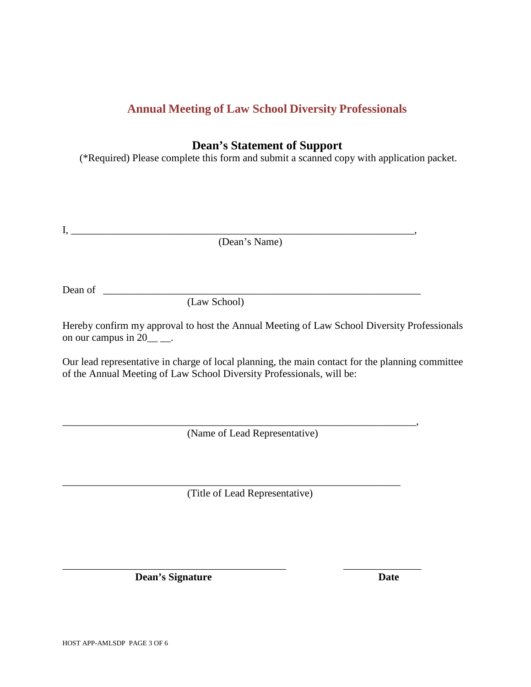# **Dean's Statement of Support**

(\*Required) Please complete this form and submit a scanned copy with application packet.

|         | (Dean's Name)                                                                                                                                                             |
|---------|---------------------------------------------------------------------------------------------------------------------------------------------------------------------------|
|         |                                                                                                                                                                           |
|         |                                                                                                                                                                           |
| Dean of | (Law School)                                                                                                                                                              |
|         |                                                                                                                                                                           |
|         | Hereby confirm my approval to host the Annual Meeting of Law School Diversity Professionals<br>on our campus in $20$ _____.                                               |
|         | Our lead representative in charge of local planning, the main contact for the planning committee<br>of the Annual Meeting of Law School Diversity Professionals, will be: |

(Name of Lead Representative)

\_\_\_\_\_\_\_\_\_\_\_\_\_\_\_\_\_\_\_\_\_\_\_\_\_\_\_\_\_\_\_\_\_\_\_\_\_\_\_\_\_\_\_\_\_\_\_\_\_\_\_\_\_\_\_\_\_\_\_\_\_\_\_\_\_\_\_\_,

(Title of Lead Representative)

\_\_\_\_\_\_\_\_\_\_\_\_\_\_\_\_\_\_\_\_\_\_\_\_\_\_\_\_\_\_\_\_\_\_\_\_\_\_\_\_\_\_\_ \_\_\_\_\_\_\_\_\_\_\_\_\_\_\_

\_\_\_\_\_\_\_\_\_\_\_\_\_\_\_\_\_\_\_\_\_\_\_\_\_\_\_\_\_\_\_\_\_\_\_\_\_\_\_\_\_\_\_\_\_\_\_\_\_\_\_\_\_\_\_\_\_\_\_\_\_\_\_\_\_

**Dean's Signature Date**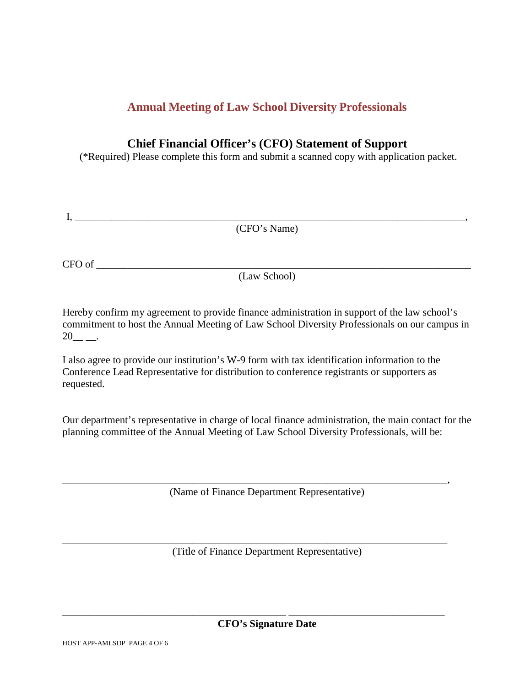## **Chief Financial Officer's (CFO) Statement of Support**

(\*Required) Please complete this form and submit a scanned copy with application packet.

| $\alpha$ F $\alpha$ |  |
|---------------------|--|

CFO of \_\_\_\_\_\_\_\_\_\_\_\_\_\_\_\_\_\_\_\_\_\_\_\_\_\_\_\_\_\_\_\_\_\_\_\_\_\_\_\_\_\_\_\_\_\_\_\_\_\_\_\_\_\_\_\_\_\_\_\_\_\_\_\_\_\_\_\_\_\_\_\_

(Law School)

Hereby confirm my agreement to provide finance administration in support of the law school's commitment to host the Annual Meeting of Law School Diversity Professionals on our campus in  $20$ \_\_\_\_.

I also agree to provide our institution's W-9 form with tax identification information to the Conference Lead Representative for distribution to conference registrants or supporters as requested.

Our department's representative in charge of local finance administration, the main contact for the planning committee of the Annual Meeting of Law School Diversity Professionals, will be:

(Name of Finance Department Representative)

\_\_\_\_\_\_\_\_\_\_\_\_\_\_\_\_\_\_\_\_\_\_\_\_\_\_\_\_\_\_\_\_\_\_\_\_\_\_\_\_\_\_\_\_\_\_\_\_\_\_\_\_\_\_\_\_\_\_\_\_\_\_\_\_\_\_\_\_\_\_\_\_\_\_,

(Title of Finance Department Representative)

\_\_\_\_\_\_\_\_\_\_\_\_\_\_\_\_\_\_\_\_\_\_\_\_\_\_\_\_\_\_\_\_\_\_\_\_\_\_\_\_\_\_\_\_\_\_\_\_\_\_\_\_\_\_\_\_\_\_\_\_\_\_\_\_\_\_\_\_\_\_\_\_\_\_

\_\_\_\_\_\_\_\_\_\_\_\_\_\_\_\_\_\_\_\_\_\_\_\_\_\_\_\_\_\_\_\_\_\_\_\_\_\_\_\_\_\_\_ \_\_\_\_\_\_\_\_\_\_\_\_\_\_\_\_\_\_\_\_\_\_\_\_\_\_\_\_\_\_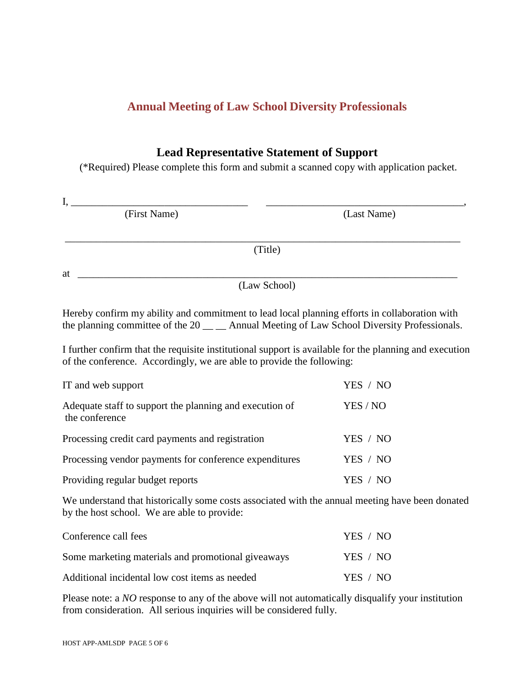#### **Lead Representative Statement of Support**

(\*Required) Please complete this form and submit a scanned copy with application packet.

| (First Name)                                                                                                                                                                                    | (Last Name) |
|-------------------------------------------------------------------------------------------------------------------------------------------------------------------------------------------------|-------------|
| (Title)                                                                                                                                                                                         |             |
| at                                                                                                                                                                                              |             |
| (Law School)                                                                                                                                                                                    |             |
| Hereby confirm my ability and commitment to lead local planning efforts in collaboration with<br>the planning committee of the $20$ __ __ Annual Meeting of Law School Diversity Professionals. |             |
| I further confirm that the requisite institutional support is available for the planning and execution<br>of the conference. Accordingly, we are able to provide the following:                 |             |
| IT and web support                                                                                                                                                                              | YES / NO    |
| Adequate staff to support the planning and execution of<br>the conference                                                                                                                       | YES / NO    |
| Processing credit card payments and registration                                                                                                                                                | YES / NO    |
| Processing vendor payments for conference expenditures                                                                                                                                          | YES / NO    |
| Providing regular budget reports                                                                                                                                                                | YES / NO    |
| We understand that historically some costs associated with the annual meeting have been donated<br>by the host school. We are able to provide:                                                  |             |
| Conference call fees                                                                                                                                                                            | YES / NO    |
| Some marketing materials and promotional giveaways                                                                                                                                              | YES / NO    |
| Additional incidental low cost items as needed                                                                                                                                                  | YES / NO    |

Please note: a *NO* response to any of the above will not automatically disqualify your institution from consideration. All serious inquiries will be considered fully.